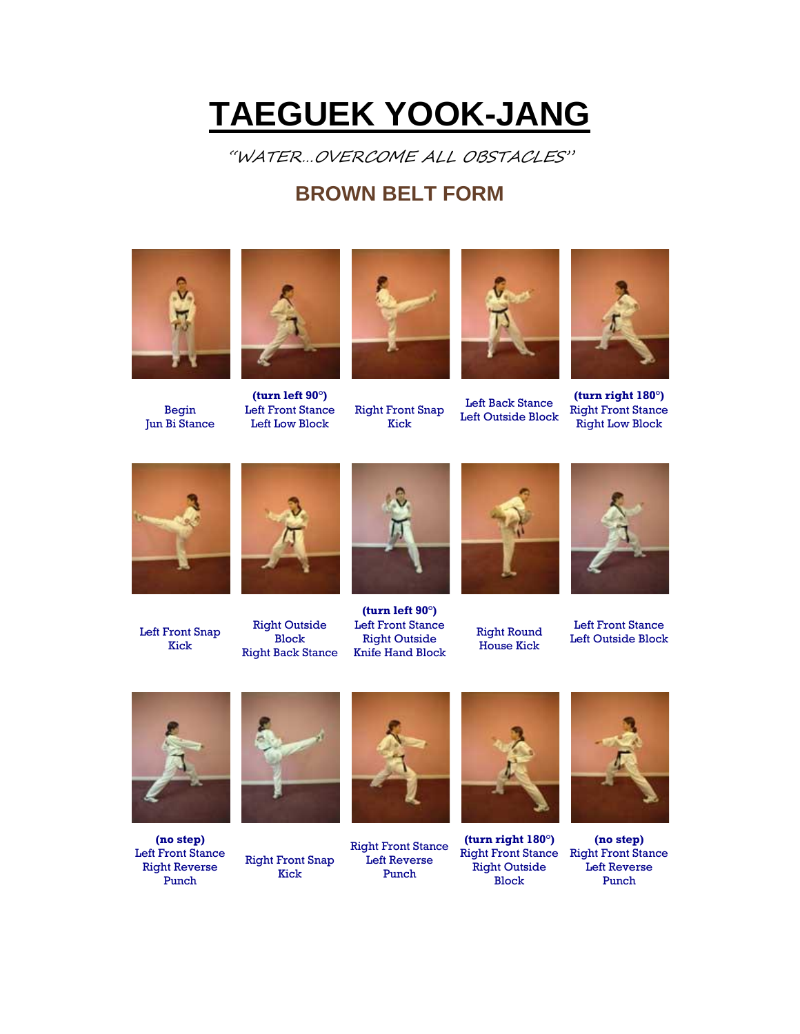## **TAEGUEK YOOK-JANG**

"WATER…OVERCOME ALL OBSTACLES"

## **BROWN BELT FORM**



Begin Jun Bi Stance



**(turn left 90°)** Left Front Stance Left Low Block



Right Front Snap Kick



Left Back Stance Left Outside Block



**(turn right 180°)** Right Front Stance Right Low Block



Left Front Snap Kick



Right Outside Block Right Back Stance



**(turn left 90°)** Left Front Stance Right Outside Knife Hand Block



Right Round House Kick



Left Front Stance Left Outside Block



**(no step)** Left Front Stance Right Reverse Punch



Right Front Snap Kick



Right Front Stance Left Reverse Punch



**(turn right 180°)** Right Front Stance Right Front Stance Right Outside Block



**(no step)** Left Reverse Punch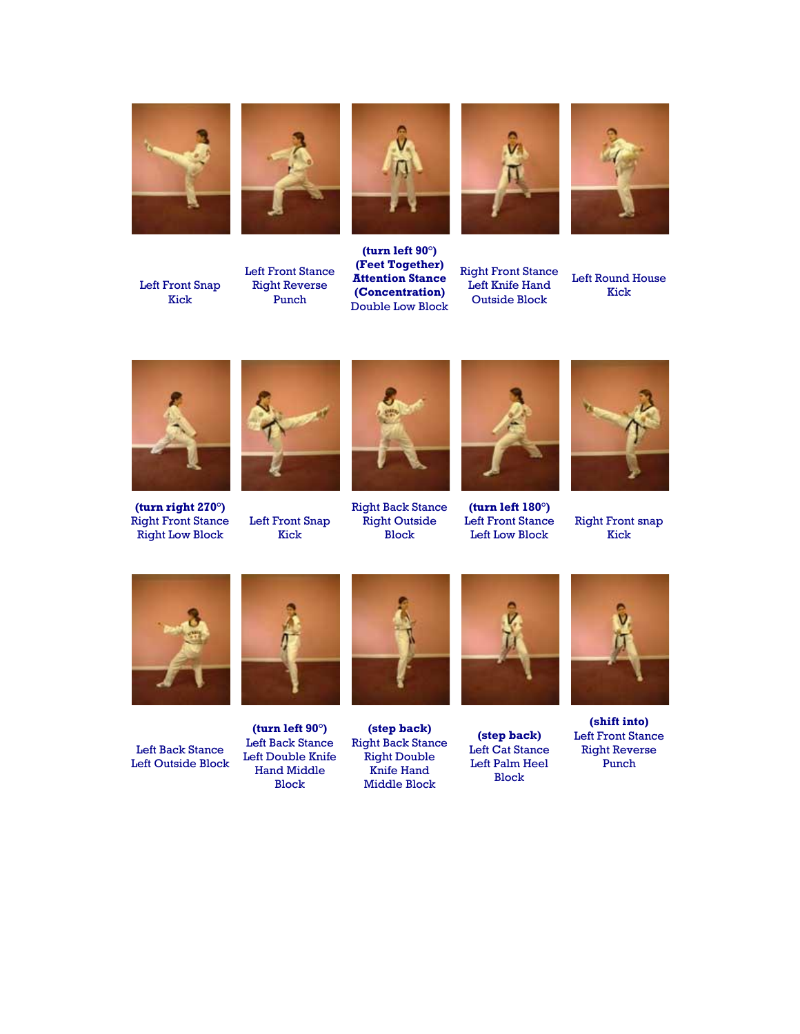





Left Front Stance Right Reverse Punch



**(turn left 90°) (Feet Together) Attention Stance (Concentration)** Double Low Block



Right Front Stance Left Knife Hand Outside Block



Left Round House Kick



**(turn right 270°)** Right Front Stance Right Low Block



Left Front Snap Kick



Right Back Stance Right Outside Block



**(turn left 180°)** Left Front Stance Left Low Block



Right Front snap Kick



Left Back Stance Left Outside Block



**(turn left 90°)** Left Back Stance Left Double Knife Hand Middle Block

**(step back)** Right Back Stance Right Double Knife Hand Middle Block



**(step back)** Left Cat Stance Left Palm Heel Block



**(shift into)** Left Front Stance Right Reverse Punch